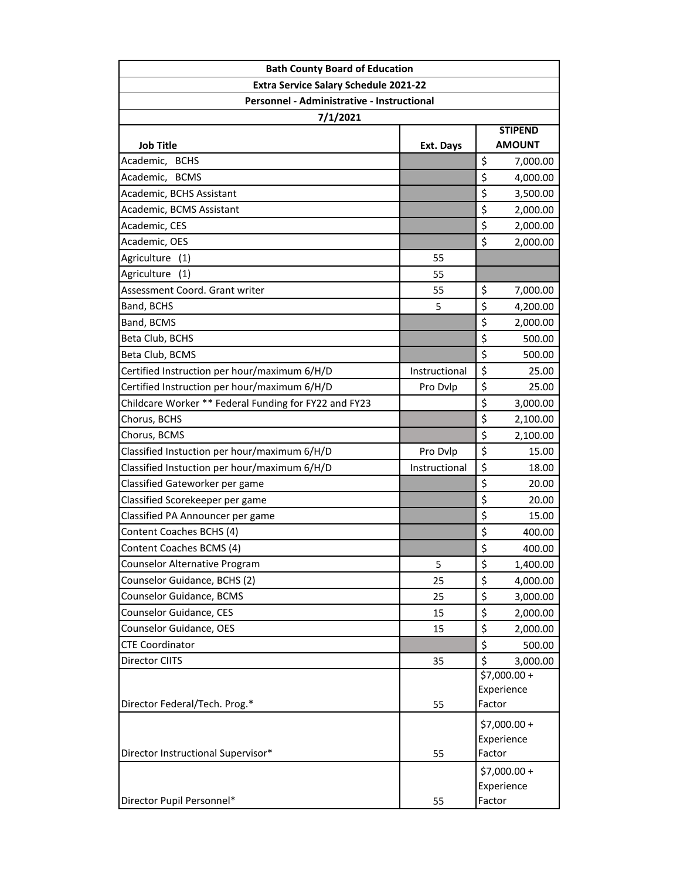| <b>Bath County Board of Education</b>                 |               |                                 |  |
|-------------------------------------------------------|---------------|---------------------------------|--|
| Extra Service Salary Schedule 2021-22                 |               |                                 |  |
| Personnel - Administrative - Instructional            |               |                                 |  |
| 7/1/2021                                              |               |                                 |  |
| <b>Job Title</b>                                      | Ext. Days     | <b>STIPEND</b><br><b>AMOUNT</b> |  |
| Academic, BCHS                                        |               | \$<br>7,000.00                  |  |
| Academic, BCMS                                        |               | \$<br>4,000.00                  |  |
| Academic, BCHS Assistant                              |               | \$<br>3,500.00                  |  |
| Academic, BCMS Assistant                              |               | \$<br>2,000.00                  |  |
| Academic, CES                                         |               | \$<br>2,000.00                  |  |
| Academic, OES                                         |               | \$<br>2,000.00                  |  |
| Agriculture<br>(1)                                    | 55            |                                 |  |
| Agriculture<br>(1)                                    | 55            |                                 |  |
| Assessment Coord. Grant writer                        | 55            | \$<br>7,000.00                  |  |
| Band, BCHS                                            | 5             | \$<br>4,200.00                  |  |
| Band, BCMS                                            |               | \$<br>2,000.00                  |  |
| Beta Club, BCHS                                       |               | \$<br>500.00                    |  |
| Beta Club, BCMS                                       |               | \$<br>500.00                    |  |
| Certified Instruction per hour/maximum 6/H/D          | Instructional | \$<br>25.00                     |  |
| Certified Instruction per hour/maximum 6/H/D          | Pro Dvlp      | \$<br>25.00                     |  |
| Childcare Worker ** Federal Funding for FY22 and FY23 |               | \$<br>3,000.00                  |  |
| Chorus, BCHS                                          |               | \$<br>2,100.00                  |  |
| Chorus, BCMS                                          |               | \$<br>2,100.00                  |  |
| Classified Instuction per hour/maximum 6/H/D          | Pro Dvlp      | \$<br>15.00                     |  |
| Classified Instuction per hour/maximum 6/H/D          | Instructional | \$<br>18.00                     |  |
| Classified Gateworker per game                        |               | \$<br>20.00                     |  |
| Classified Scorekeeper per game                       |               | \$<br>20.00                     |  |
| Classified PA Announcer per game                      |               | \$<br>15.00                     |  |
| Content Coaches BCHS (4)                              |               | \$<br>400.00                    |  |
| Content Coaches BCMS (4)                              |               | \$<br>400.00                    |  |
| Counselor Alternative Program                         | 5             | \$<br>1,400.00                  |  |
| Counselor Guidance, BCHS (2)                          | 25            | \$<br>4,000.00                  |  |
| Counselor Guidance, BCMS                              | 25            | \$<br>3,000.00                  |  |
| Counselor Guidance, CES                               | 15            | \$<br>2,000.00                  |  |
| Counselor Guidance, OES                               | 15            | \$<br>2,000.00                  |  |
| <b>CTE Coordinator</b>                                |               | \$<br>500.00                    |  |
| Director CIITS                                        | 35            | \$<br>3,000.00                  |  |
|                                                       |               | \$7,000.00+                     |  |
|                                                       |               | Experience                      |  |
| Director Federal/Tech. Prog.*                         | 55            | Factor                          |  |
|                                                       |               | $$7,000.00+$                    |  |
|                                                       |               | Experience                      |  |
| Director Instructional Supervisor*                    | 55            | Factor                          |  |
|                                                       |               | \$7,000.00 +                    |  |
|                                                       |               | Experience                      |  |
| Director Pupil Personnel*                             | 55            | Factor                          |  |